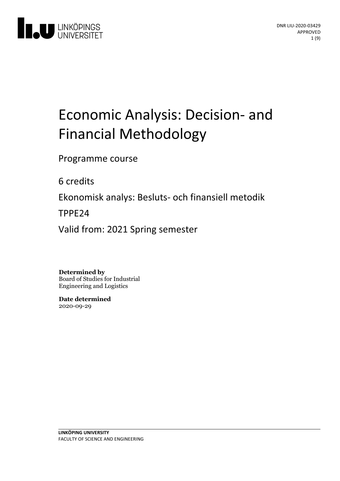

# Economic Analysis: Decision-and Financial Methodology

Programme course

6 credits

Ekonomiskanalys: Besluts- och finansiell metodik

TPPE24

Valid from: 2021 Spring semester

**Determined by**

Board of Studies for Industrial Engineering and Logistics

**Date determined** 2020-09-29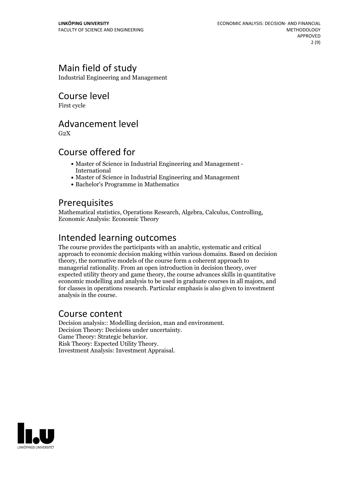# Main field of study

Industrial Engineering and Management

### Course level

First cycle

### Advancement level

 $G<sub>2</sub>X$ 

### Course offered for

- Master of Science in Industrial Engineering and Management International
- Master of Science in Industrial Engineering and Management
- Bachelor's Programme in Mathematics

### **Prerequisites**

Mathematical statistics, Operations Research, Algebra, Calculus, Controlling, Economic Analysis: Economic Theory

# Intended learning outcomes

The course provides the participants with an analytic, systematic and critical approach to economic decision making within various domains. Based on decision theory, the normative models of the course form a coherent approach to managerial rationality. From an open introduction in decision theory, over expected utility theory and game theory, the course advances skills in quantitative economic modelling and analysis to be used in graduate courses in all majors, and for classes in operations research. Particular emphasis is also given to investment analysis in the course.

### Course content

Decision analysis:: Modelling decision, man and environment. Decision Theory: Decisions under uncertainty. Game Theory: Strategic behavior. Risk Theory: Expected Utility Theory. Investment Analysis: Investment Appraisal.

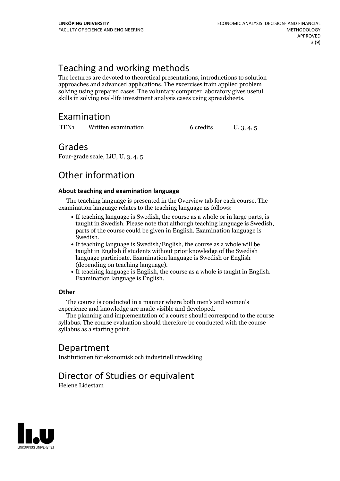# Teaching and working methods

The lectures are devoted to theoretical presentations, introductions to solution approaches and advanced applications. The excercises train applied problem solving using prepared cases. The voluntary computer laboratory gives useful skills in solving real-life investment analysis cases using spreadsheets.

# Examination

| TEN <sub>1</sub> | Written examination | 6 credits | U, 3, 4, 5 |  |
|------------------|---------------------|-----------|------------|--|
|------------------|---------------------|-----------|------------|--|

### Grades

Four-grade scale, LiU, U, 3, 4, 5

# Other information

### **About teaching and examination language**

The teaching language is presented in the Overview tab for each course. The examination language relates to the teaching language as follows:

- If teaching language is Swedish, the course as a whole or in large parts, is taught in Swedish. Please note that although teaching language is Swedish, parts of the course could be given in English. Examination language is
- Swedish.<br>• If teaching language is Swedish/English, the course as a whole will be taught in English if students without prior knowledge of the Swedish language participate. Examination language is Swedish or English
- (depending on teaching language).<br>• If teaching language is English, the course as a whole is taught in English.<br>Examination language is English.

### **Other**

The course is conducted in a manner where both men's and women's

The planning and implementation of a course should correspond to the course syllabus. The course evaluation should therefore be conducted with the course syllabus as a starting point.

# Department

Institutionen för ekonomisk och industriell utveckling

# Director of Studies or equivalent

Helene Lidestam

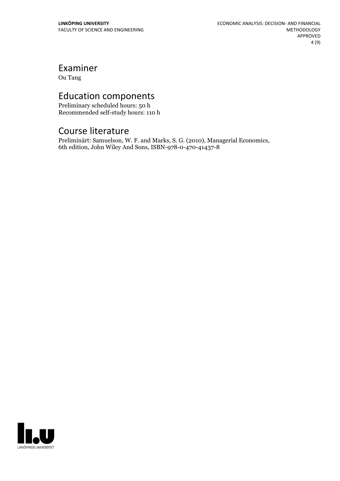Examiner

Ou Tang

# Education components

Preliminary scheduled hours: 50 h Recommended self-study hours: 110 h

# Course literature

Preliminärt: Samuelson, W. F. and Marks, S. G. (2010), Managerial Economics, 6th edition, John Wiley And Sons, ISBN-978-0-470-41437-8

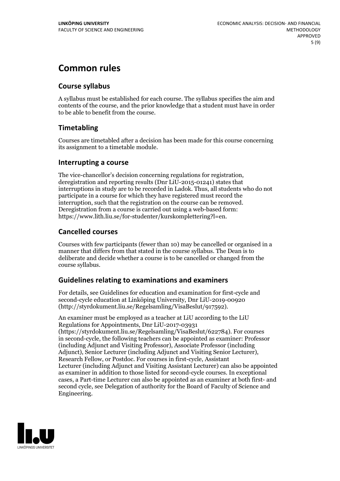# **Common rules**

### **Course syllabus**

A syllabus must be established for each course. The syllabus specifies the aim and contents of the course, and the prior knowledge that a student must have in order to be able to benefit from the course.

### **Timetabling**

Courses are timetabled after a decision has been made for this course concerning its assignment to a timetable module.

### **Interrupting a course**

The vice-chancellor's decision concerning regulations for registration, deregistration and reporting results (Dnr LiU-2015-01241) states that interruptions in study are to be recorded in Ladok. Thus, all students who do not participate in a course for which they have registered must record the interruption, such that the registration on the course can be removed. Deregistration from <sup>a</sup> course is carried outusing <sup>a</sup> web-based form: https://www.lith.liu.se/for-studenter/kurskomplettering?l=en.

### **Cancelled courses**

Courses with few participants (fewer than 10) may be cancelled or organised in a manner that differs from that stated in the course syllabus. The Dean is to deliberate and decide whether a course is to be cancelled or changed from the course syllabus.

### **Guidelines relatingto examinations and examiners**

For details, see Guidelines for education and examination for first-cycle and second-cycle education at Linköping University, Dnr LiU-2019-00920 (http://styrdokument.liu.se/Regelsamling/VisaBeslut/917592).

An examiner must be employed as a teacher at LiU according to the LiU Regulations for Appointments, Dnr LiU-2017-03931 (https://styrdokument.liu.se/Regelsamling/VisaBeslut/622784). For courses in second-cycle, the following teachers can be appointed as examiner: Professor (including Adjunct and Visiting Professor), Associate Professor (including Adjunct), Senior Lecturer (including Adjunct and Visiting Senior Lecturer), Research Fellow, or Postdoc. For courses in first-cycle, Assistant Lecturer (including Adjunct and Visiting Assistant Lecturer) can also be appointed as examiner in addition to those listed for second-cycle courses. In exceptional cases, a Part-time Lecturer can also be appointed as an examiner at both first- and second cycle, see Delegation of authority for the Board of Faculty of Science and Engineering.

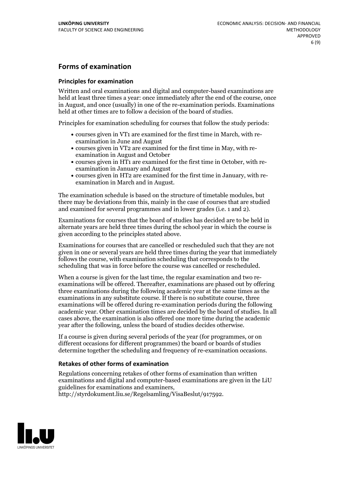### **Forms of examination**

#### **Principles for examination**

Written and oral examinations and digital and computer-based examinations are held at least three times a year: once immediately after the end of the course, once in August, and once (usually) in one of the re-examination periods. Examinations held at other times are to follow a decision of the board of studies.

Principles for examination scheduling for courses that follow the study periods:

- courses given in VT1 are examined for the first time in March, with re-examination in June and August
- courses given in VT2 are examined for the first time in May, with re-examination in August and October
- courses given in HT1 are examined for the first time in October, with re-examination in January and August
- courses given in HT2 are examined for the first time in January, with re-examination in March and in August.

The examination schedule is based on the structure of timetable modules, but there may be deviations from this, mainly in the case of courses that are studied and examined for several programmes and in lower grades (i.e. 1 and 2).

Examinations for courses that the board of studies has decided are to be held in alternate years are held three times during the school year in which the course is given according to the principles stated above.

Examinations for courses that are cancelled orrescheduled such that they are not given in one or several years are held three times during the year that immediately follows the course, with examination scheduling that corresponds to the scheduling that was in force before the course was cancelled or rescheduled.

When a course is given for the last time, the regular examination and two re-<br>examinations will be offered. Thereafter, examinations are phased out by offering three examinations during the following academic year at the same times as the examinations in any substitute course. If there is no substitute course, three examinations will be offered during re-examination periods during the following academic year. Other examination times are decided by the board of studies. In all cases above, the examination is also offered one more time during the academic year after the following, unless the board of studies decides otherwise.

If a course is given during several periods of the year (for programmes, or on different occasions for different programmes) the board or boards of studies determine together the scheduling and frequency of re-examination occasions.

### **Retakes of other forms of examination**

Regulations concerning retakes of other forms of examination than written examinations and digital and computer-based examinations are given in the LiU guidelines for examinations and examiners, http://styrdokument.liu.se/Regelsamling/VisaBeslut/917592.

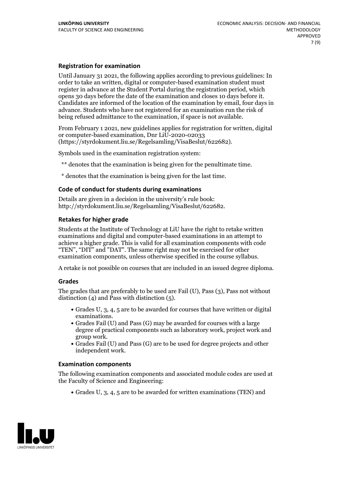#### **Registration for examination**

Until January 31 2021, the following applies according to previous guidelines: In order to take an written, digital or computer-based examination student must register in advance at the Student Portal during the registration period, which Candidates are informed of the location of the examination by email, four days in advance. Students who have not registered for an examination run the risk of being refused admittance to the examination, if space is not available.

From February 1 2021, new guidelines applies for registration for written, digital or computer-based examination, Dnr LiU-2020-02033 (https://styrdokument.liu.se/Regelsamling/VisaBeslut/622682).

Symbols used in the examination registration system:

\*\* denotes that the examination is being given for the penultimate time.

\* denotes that the examination is being given for the last time.

#### **Code of conduct for students during examinations**

Details are given in a decision in the university's rule book: http://styrdokument.liu.se/Regelsamling/VisaBeslut/622682.

#### **Retakes for higher grade**

Students at the Institute of Technology at LiU have the right to retake written examinations and digital and computer-based examinations in an attempt to achieve a higher grade. This is valid for all examination components with code "TEN", "DIT" and "DAT". The same right may not be exercised for other examination components, unless otherwise specified in the course syllabus.

A retake is not possible on courses that are included in an issued degree diploma.

#### **Grades**

The grades that are preferably to be used are Fail (U), Pass (3), Pass not without distinction  $(4)$  and Pass with distinction  $(5)$ .

- Grades U, 3, 4, 5 are to be awarded for courses that have written or digital examinations.<br>• Grades Fail (U) and Pass (G) may be awarded for courses with a large
- degree of practical components such as laboratory work, project work and
- $\bullet$  Grades Fail (U) and Pass (G) are to be used for degree projects and other independent work.

#### **Examination components**

The following examination components and associated module codes are used at the Faculty of Science and Engineering:

Grades U, 3, 4, 5 are to be awarded for written examinations (TEN) and

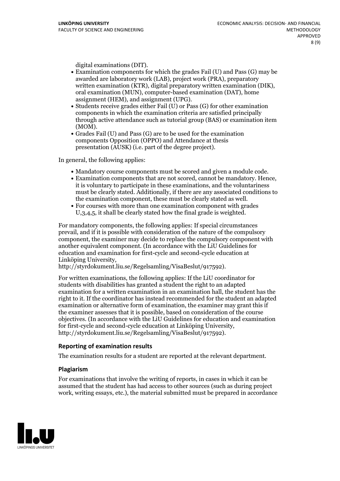- digital examinations (DIT).<br>• Examination components for which the grades Fail (U) and Pass (G) may be awarded are laboratory work (LAB), project work (PRA), preparatory written examination (KTR), digital preparatory written examination (DIK), oral examination (MUN), computer-based examination (DAT), home
- assignment (HEM), and assignment (UPG).<br>• Students receive grades either Fail (U) or Pass (G) for other examination components in which the examination criteria are satisfied principally through active attendance such as tutorial group (BAS) or examination item
- (MOM).<br>• Grades Fail (U) and Pass (G) are to be used for the examination components Opposition (OPPO) and Attendance at thesis presentation (AUSK) (i.e. part of the degree project).

In general, the following applies:

- 
- Mandatory course components must be scored and given <sup>a</sup> module code. Examination components that are not scored, cannot be mandatory. Hence, it is voluntary to participate in these examinations, and the voluntariness must be clearly stated. Additionally, if there are any associated conditions to the examination component, these must be clearly stated as well.<br>• For courses with more than one examination component with grades
- U,3,4,5, it shall be clearly stated how the final grade is weighted.

For mandatory components, the following applies: If special circumstances prevail, and if it is possible with consideration of the nature of the compulsory component, the examiner may decide to replace the compulsory component with another equivalent component. (In accordance with the LiU Guidelines for education and examination for first-cycle and second-cycle education at Linköping University, http://styrdokument.liu.se/Regelsamling/VisaBeslut/917592).

For written examinations, the following applies: If the LiU coordinator for students with disabilities has granted a student the right to an adapted examination for a written examination in an examination hall, the student has the right to it. If the coordinator has instead recommended for the student an adapted examination or alternative form of examination, the examiner may grant this if the examiner assesses that it is possible, based on consideration of the course objectives. (In accordance with the LiU Guidelines for education and examination for first-cycle and second-cycle education at Linköping University, http://styrdokument.liu.se/Regelsamling/VisaBeslut/917592).

### **Reporting of examination results**

The examination results for a student are reported at the relevant department.

### **Plagiarism**

For examinations that involve the writing of reports, in cases in which it can be assumed that the student has had access to other sources (such as during project work, writing essays, etc.), the material submitted must be prepared in accordance